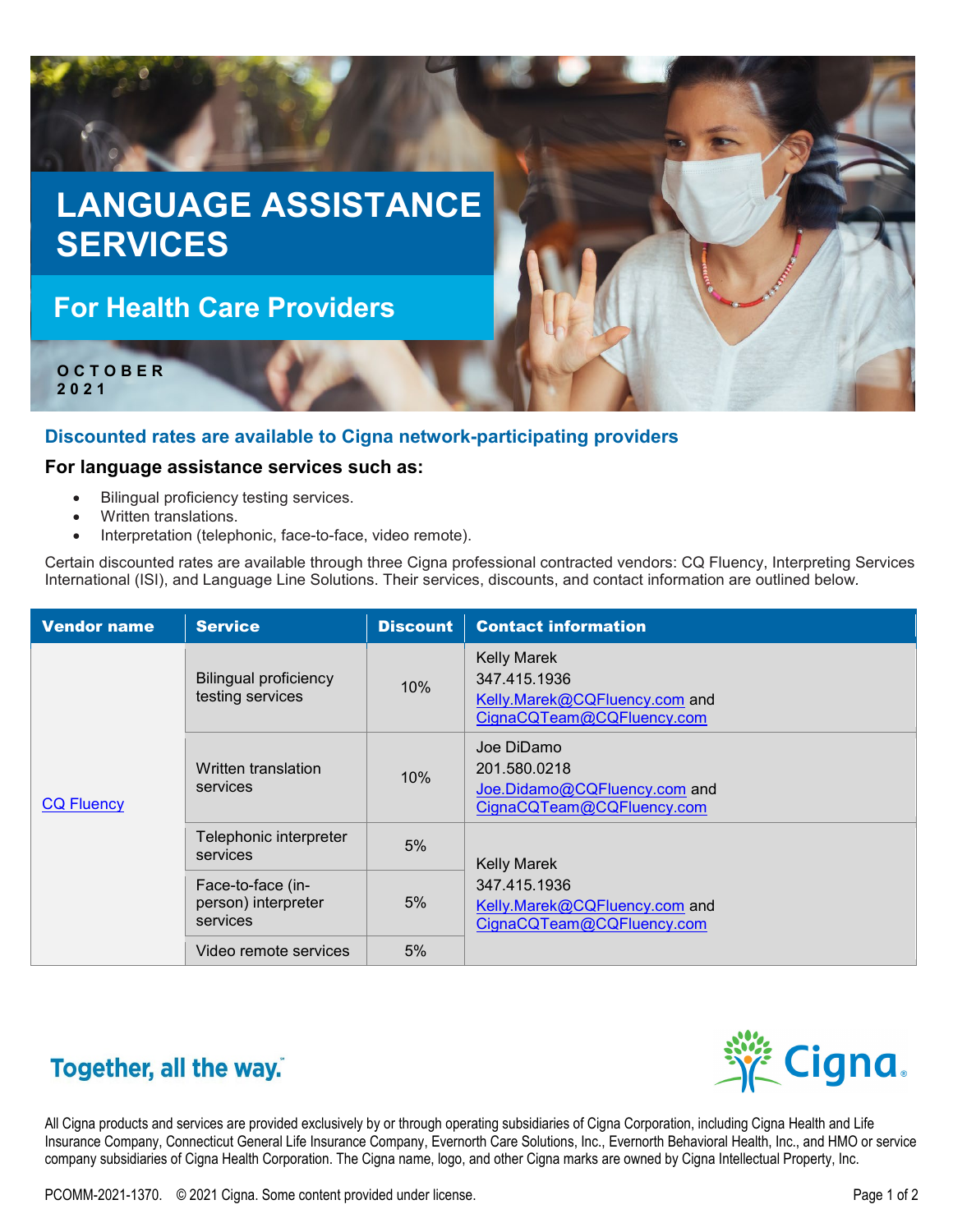

## **Discounted rates are available to Cigna network-participating providers**

## **For language assistance services such as:**

- Bilingual proficiency testing services.
- Written translations.
- Interpretation (telephonic, face-to-face, video remote).

Certain discounted rates are available through three Cigna professional contracted vendors: CQ Fluency, Interpreting Services International (ISI), and Language Line Solutions. Their services, discounts, and contact information are outlined below*.*

| <b>Vendor name</b> | <b>Service</b>                                       | <b>Discount</b> | <b>Contact information</b>                                                                       |
|--------------------|------------------------------------------------------|-----------------|--------------------------------------------------------------------------------------------------|
| <b>CQ Fluency</b>  | <b>Bilingual proficiency</b><br>testing services     | 10%             | <b>Kelly Marek</b><br>347.415.1936<br>Kelly.Marek@CQFluency.com and<br>CignaCQTeam@CQFluency.com |
|                    | Written translation<br>services                      | 10%             | Joe DiDamo<br>201.580.0218<br>Joe.Didamo@CQFluency.com and<br>CignaCQTeam@CQFluency.com          |
|                    | Telephonic interpreter<br>services                   | 5%              | <b>Kelly Marek</b><br>347.415.1936<br>Kelly.Marek@CQFluency.com and<br>CignaCQTeam@CQFluency.com |
|                    | Face-to-face (in-<br>person) interpreter<br>services | 5%              |                                                                                                  |
|                    | Video remote services                                | 5%              |                                                                                                  |

## Together, all the way.



All Cigna products and services are provided exclusively by or through operating subsidiaries of Cigna Corporation, including Cigna Health and Life Insurance Company, Connecticut General Life Insurance Company, Evernorth Care Solutions, Inc., Evernorth Behavioral Health, Inc., and HMO or service company subsidiaries of Cigna Health Corporation. The Cigna name, logo, and other Cigna marks are owned by Cigna Intellectual Property, Inc.

PCOMM-2021-1370. © 2021 Cigna. Some content provided under license. Page 1 of 2